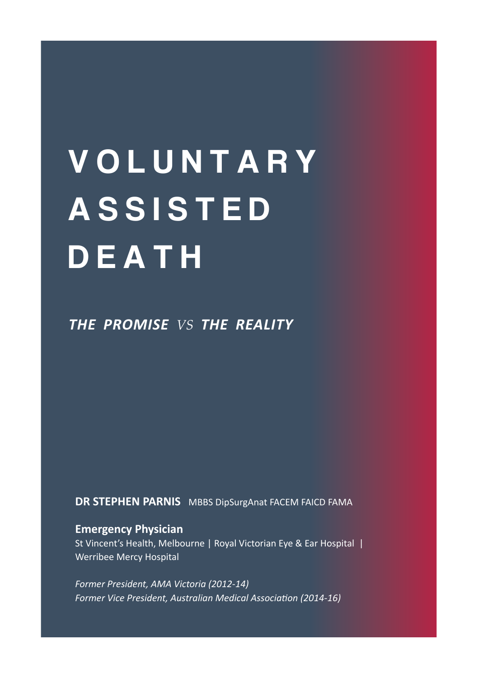# **VOLUNTARY ASSISTED DEATH**

*THE PROMISE VS THE REALITY*

**DR STEPHEN PARNIS** MBBS DipSurgAnat FACEM FAICD FAMA

#### **Emergency Physician**

St Vincent's Health, Melbourne | Royal Victorian Eye & Ear Hospital | Werribee Mercy Hospital

*Former President, AMA Victoria (2012-14) Former Vice President, Australian Medical Association (2014-16)*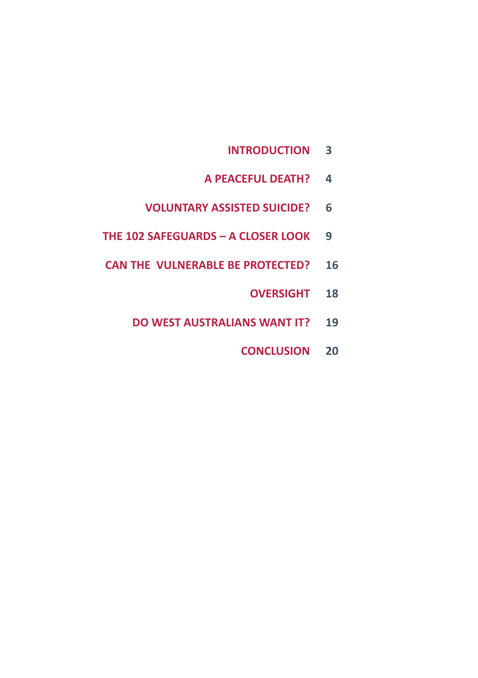- **INTRODUCTION 3**
- **A PEACEFUL DEATH? 4**
- **VOLUNTARY ASSISTED SUICIDE? 6**
- **THE 102 SAFEGUARDS A CLOSER LOOK 9**
- **CAN THE VULNERABLE BE PROTECTED? 16**
	- **OVERSIGHT 18**
	- **DO WEST AUSTRALIANS WANT IT? 19**
		- **CONCLUSION 20**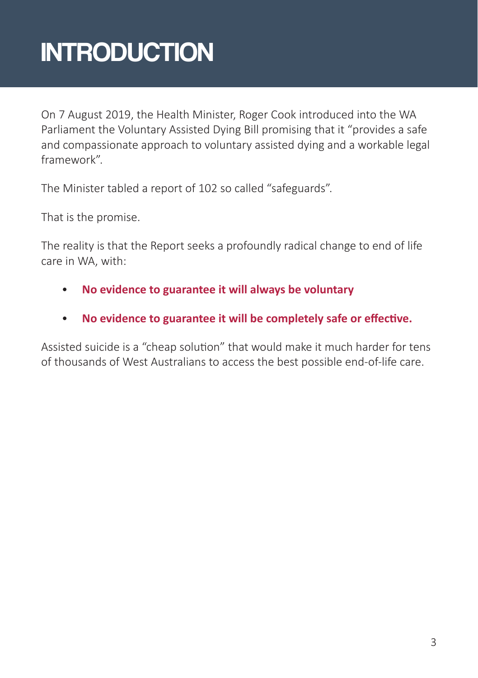### **INTRODUCTION**

On 7 August 2019, the Health Minister, Roger Cook introduced into the WA Parliament the Voluntary Assisted Dying Bill promising that it "provides a safe and compassionate approach to voluntary assisted dying and a workable legal framework".

The Minister tabled a report of 102 so called "safeguards".

That is the promise.

The reality is that the Report seeks a profoundly radical change to end of life care in WA, with:

- **No evidence to guarantee it will always be voluntary**
- **No evidence to guarantee it will be completely safe or effective.**

Assisted suicide is a "cheap solution" that would make it much harder for tens of thousands of West Australians to access the best possible end-of-life care.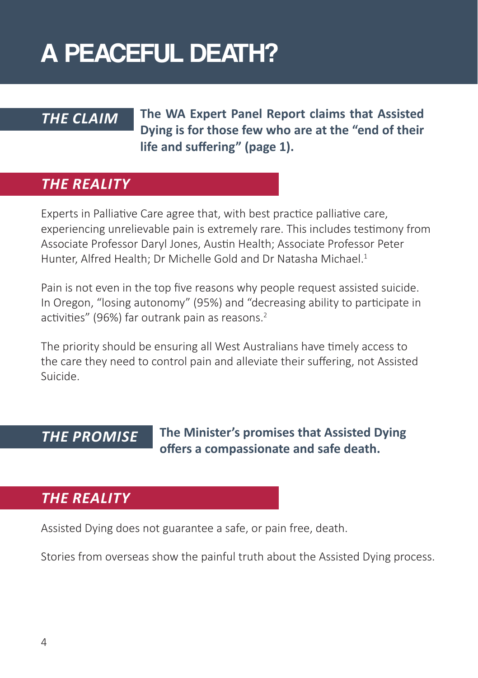### A PEACEFUL DEATH?

#### *THE CLAIM*

**The WA Expert Panel Report claims that Assisted Dying is for those few who are at the "end of their life and suffering" (page 1).** 

#### *THE REALITY*

Experts in Palliative Care agree that, with best practice palliative care, experiencing unrelievable pain is extremely rare. This includes testimony from Associate Professor Daryl Jones, Austin Health; Associate Professor Peter Hunter, Alfred Health; Dr Michelle Gold and Dr Natasha Michael.<sup>1</sup>

Pain is not even in the top five reasons why people request assisted suicide. In Oregon, "losing autonomy" (95%) and "decreasing ability to participate in activities" (96%) far outrank pain as reasons.<sup>2</sup>

The priority should be ensuring all West Australians have timely access to the care they need to control pain and alleviate their suffering, not Assisted Suicide.

#### *THE PROMISE*

**The Minister's promises that Assisted Dying offers a compassionate and safe death.**

#### *THE REALITY*

Assisted Dying does not guarantee a safe, or pain free, death.

Stories from overseas show the painful truth about the Assisted Dying process.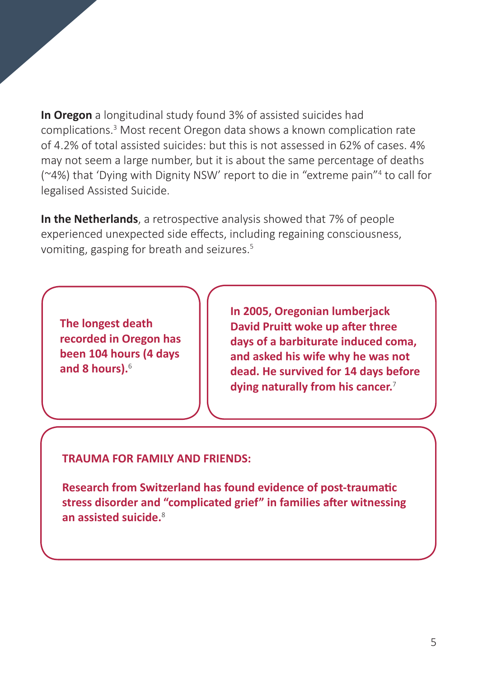**In Oregon** a longitudinal study found 3% of assisted suicides had complications.<sup>3</sup> Most recent Oregon data shows a known complication rate of 4.2% of total assisted suicides: but this is not assessed in 62% of cases. 4% may not seem a large number, but it is about the same percentage of deaths (~4%) that 'Dying with Dignity NSW' report to die in "extreme pain"<sup>4</sup> to call for legalised Assisted Suicide.

**In the Netherlands**, a retrospective analysis showed that 7% of people experienced unexpected side effects, including regaining consciousness, vomiting, gasping for breath and seizures.<sup>5</sup>

**The longest death recorded in Oregon has been 104 hours (4 days and 8 hours).**<sup>6</sup>

**In 2005, Oregonian lumberjack David Pruitt woke up after three days of a barbiturate induced coma, and asked his wife why he was not dead. He survived for 14 days before dying naturally from his cancer.**<sup>7</sup>

#### **TRAUMA FOR FAMILY AND FRIENDS:**

**Research from Switzerland has found evidence of post-traumatic stress disorder and "complicated grief" in families after witnessing an assisted suicide.**<sup>8</sup>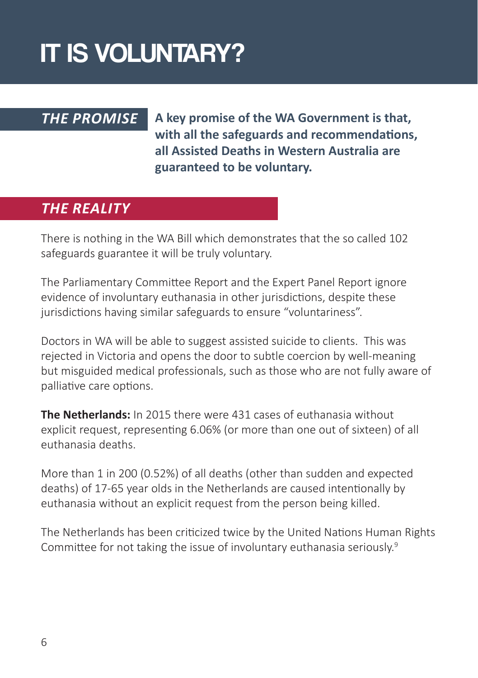## IT IS VOLUNTARY?

#### *THE PROMISE*

**A key promise of the WA Government is that, with all the safeguards and recommendations, all Assisted Deaths in Western Australia are guaranteed to be voluntary.** 

#### *THE REALITY*

There is nothing in the WA Bill which demonstrates that the so called 102 safeguards guarantee it will be truly voluntary.

The Parliamentary Committee Report and the Expert Panel Report ignore evidence of involuntary euthanasia in other jurisdictions, despite these jurisdictions having similar safeguards to ensure "voluntariness".

Doctors in WA will be able to suggest assisted suicide to clients. This was rejected in Victoria and opens the door to subtle coercion by well-meaning but misguided medical professionals, such as those who are not fully aware of palliative care options.

**The Netherlands:** In 2015 there were 431 cases of euthanasia without explicit request, representing 6.06% (or more than one out of sixteen) of all euthanasia deaths.

More than 1 in 200 (0.52%) of all deaths (other than sudden and expected deaths) of 17-65 year olds in the Netherlands are caused intentionally by euthanasia without an explicit request from the person being killed.

The Netherlands has been criticized twice by the United Nations Human Rights Committee for not taking the issue of involuntary euthanasia seriously.<sup>9</sup>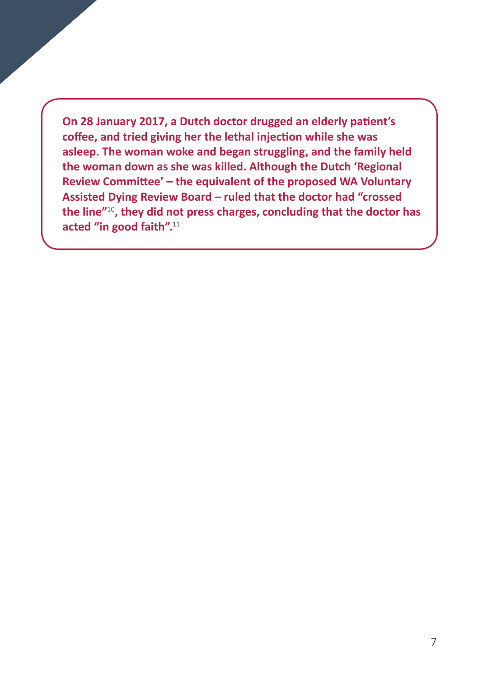**On 28 January 2017, a Dutch doctor drugged an elderly patient's coffee, and tried giving her the lethal injection while she was asleep. The woman woke and began struggling, and the family held the woman down as she was killed. Although the Dutch 'Regional Review Committee' – the equivalent of the proposed WA Voluntary Assisted Dying Review Board – ruled that the doctor had "crossed the line"**<sup>10</sup>**, they did not press charges, concluding that the doctor has acted "in good faith".**<sup>11</sup>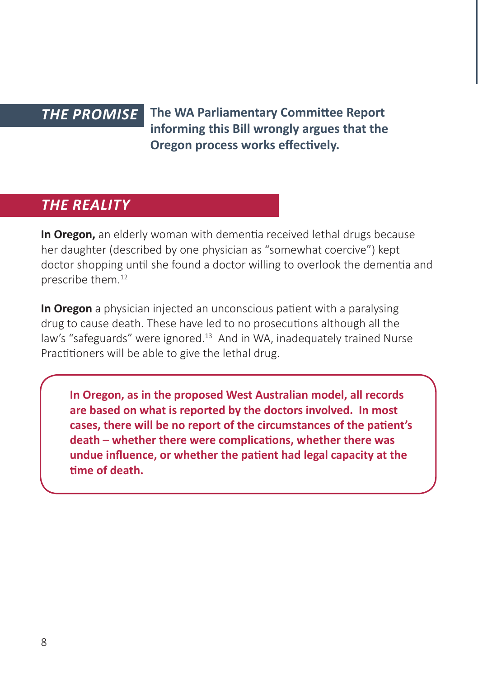#### *THE PROMISE*

**The WA Parliamentary Committee Report informing this Bill wrongly argues that the Oregon process works effectively.** 

#### *THE REALITY*

**In Oregon,** an elderly woman with dementia received lethal drugs because her daughter (described by one physician as "somewhat coercive") kept doctor shopping until she found a doctor willing to overlook the dementia and prescribe them.12

**In Oregon** a physician injected an unconscious patient with a paralysing drug to cause death. These have led to no prosecutions although all the law's "safeguards" were ignored.<sup>13</sup> And in WA, inadequately trained Nurse Practitioners will be able to give the lethal drug.

**In Oregon, as in the proposed West Australian model, all records are based on what is reported by the doctors involved. In most cases, there will be no report of the circumstances of the patient's death – whether there were complications, whether there was undue influence, or whether the patient had legal capacity at the time of death.**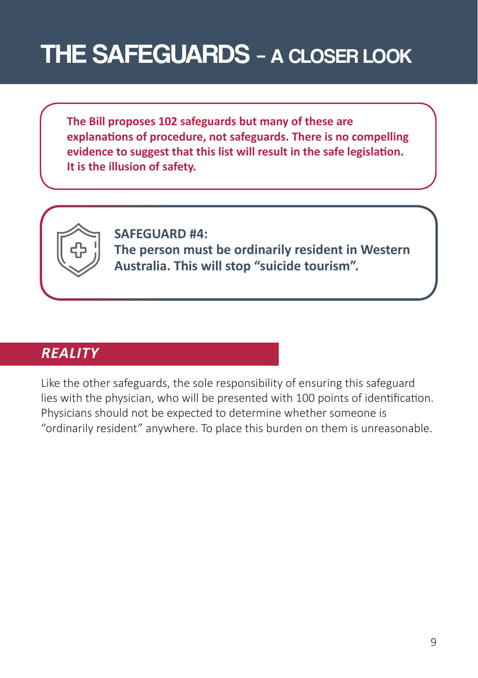### THE SAFEGUARDS – A CLOSER LOOK

**The Bill proposes 102 safeguards but many of these are explanations of procedure, not safeguards. There is no compelling evidence to suggest that this list will result in the safe legislation. It is the illusion of safety.** 



**SAFEGUARD #4: The person must be ordinarily resident in Western Australia. This will stop "suicide tourism".**

#### *REALITY*

Like the other safeguards, the sole responsibility of ensuring this safeguard lies with the physician, who will be presented with 100 points of identification. Physicians should not be expected to determine whether someone is "ordinarily resident" anywhere. To place this burden on them is unreasonable.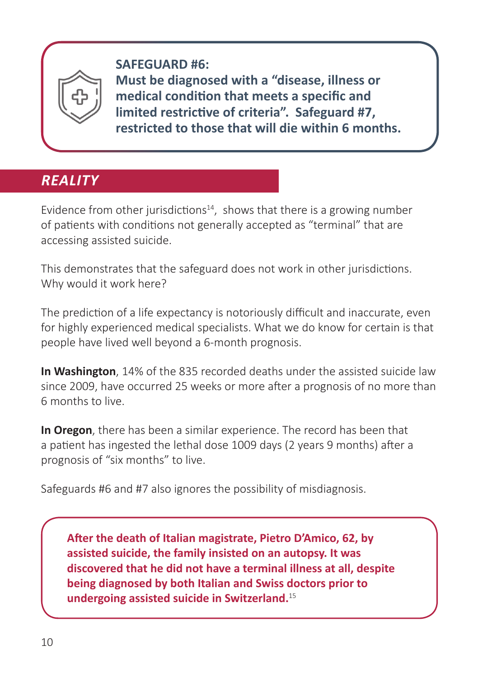

**SAFEGUARD #6: Must be diagnosed with a "disease, illness or medical condition that meets a specific and limited restrictive of criteria". Safeguard #7, restricted to those that will die within 6 months.** 

### *REALITY*

Evidence from other jurisdictions<sup>14</sup>, shows that there is a growing number of patients with conditions not generally accepted as "terminal" that are accessing assisted suicide.

This demonstrates that the safeguard does not work in other jurisdictions. Why would it work here?

The prediction of a life expectancy is notoriously difficult and inaccurate, even for highly experienced medical specialists. What we do know for certain is that people have lived well beyond a 6-month prognosis.

**In Washington**, 14% of the 835 recorded deaths under the assisted suicide law since 2009, have occurred 25 weeks or more after a prognosis of no more than 6 months to live.

**In Oregon**, there has been a similar experience. The record has been that a patient has ingested the lethal dose 1009 days (2 years 9 months) after a prognosis of "six months" to live.

Safeguards #6 and #7 also ignores the possibility of misdiagnosis.

**After the death of Italian magistrate, Pietro D'Amico, 62, by assisted suicide, the family insisted on an autopsy. It was discovered that he did not have a terminal illness at all, despite being diagnosed by both Italian and Swiss doctors prior to undergoing assisted suicide in Switzerland.**<sup>15</sup>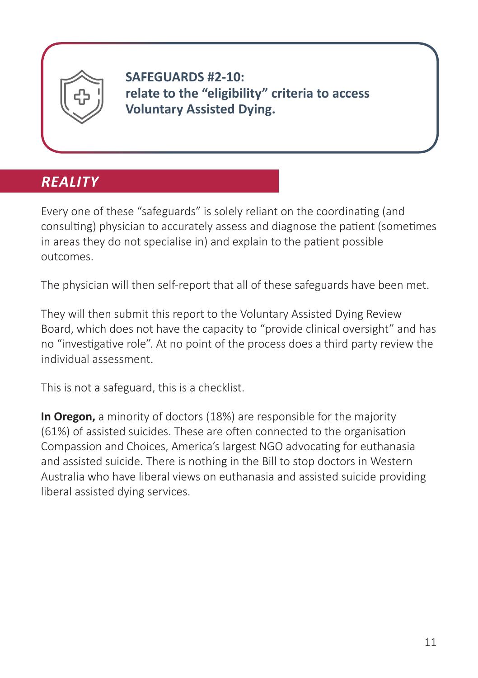

**SAFEGUARDS #2-10: relate to the "eligibility" criteria to access Voluntary Assisted Dying.** 

### *REALITY*

Every one of these "safeguards" is solely reliant on the coordinating (and consulting) physician to accurately assess and diagnose the patient (sometimes in areas they do not specialise in) and explain to the patient possible outcomes.

The physician will then self-report that all of these safeguards have been met.

They will then submit this report to the Voluntary Assisted Dying Review Board, which does not have the capacity to "provide clinical oversight" and has no "investigative role". At no point of the process does a third party review the individual assessment.

This is not a safeguard, this is a checklist.

**In Oregon,** a minority of doctors (18%) are responsible for the majority (61%) of assisted suicides. These are often connected to the organisation Compassion and Choices, America's largest NGO advocating for euthanasia and assisted suicide. There is nothing in the Bill to stop doctors in Western Australia who have liberal views on euthanasia and assisted suicide providing liberal assisted dying services.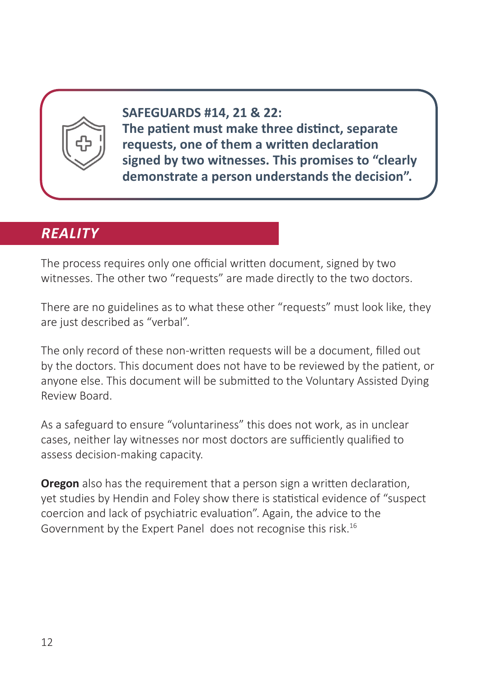

**SAFEGUARDS #14, 21 & 22: The patient must make three distinct, separate requests, one of them a written declaration signed by two witnesses. This promises to "clearly demonstrate a person understands the decision".** 

#### *REALITY*

The process requires only one official written document, signed by two witnesses. The other two "requests" are made directly to the two doctors.

There are no guidelines as to what these other "requests" must look like, they are just described as "verbal".

The only record of these non-written requests will be a document, filled out by the doctors. This document does not have to be reviewed by the patient, or anyone else. This document will be submitted to the Voluntary Assisted Dying Review Board.

As a safeguard to ensure "voluntariness" this does not work, as in unclear cases, neither lay witnesses nor most doctors are sufficiently qualified to assess decision-making capacity.

**Oregon** also has the requirement that a person sign a written declaration, yet studies by Hendin and Foley show there is statistical evidence of "suspect coercion and lack of psychiatric evaluation". Again, the advice to the Government by the Expert Panel does not recognise this risk.16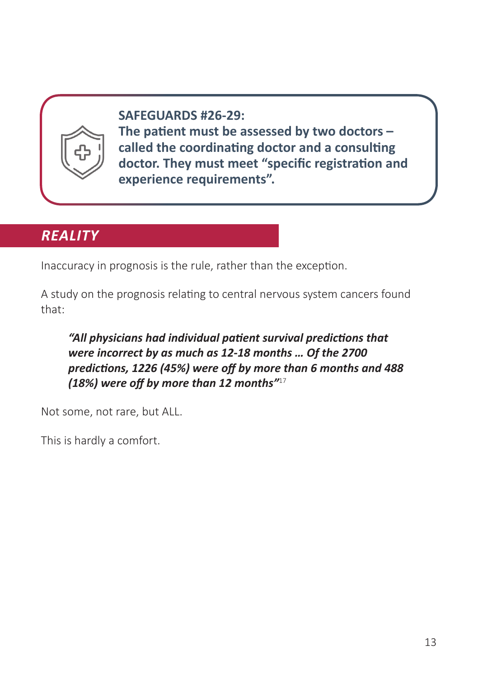

**SAFEGUARDS #26-29: The patient must be assessed by two doctors – called the coordinating doctor and a consulting doctor. They must meet "specific registration and experience requirements".** 

#### *REALITY*

Inaccuracy in prognosis is the rule, rather than the exception.

A study on the prognosis relating to central nervous system cancers found that:

*"All physicians had individual patient survival predictions that were incorrect by as much as 12-18 months … Of the 2700 predictions, 1226 (45%) were off by more than 6 months and 488 (18%) were off by more than 12 months"*<sup>17</sup>

Not some, not rare, but ALL.

This is hardly a comfort.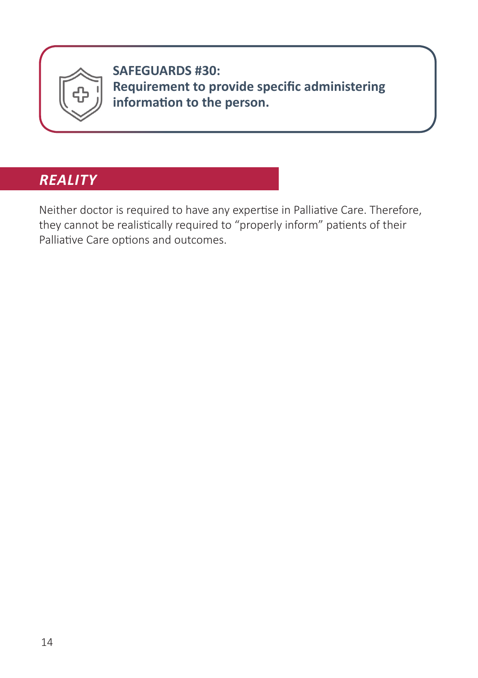

**SAFEGUARDS #30: Requirement to provide specific administering information to the person.** 

#### *REALITY*

Neither doctor is required to have any expertise in Palliative Care. Therefore, they cannot be realistically required to "properly inform" patients of their Palliative Care options and outcomes.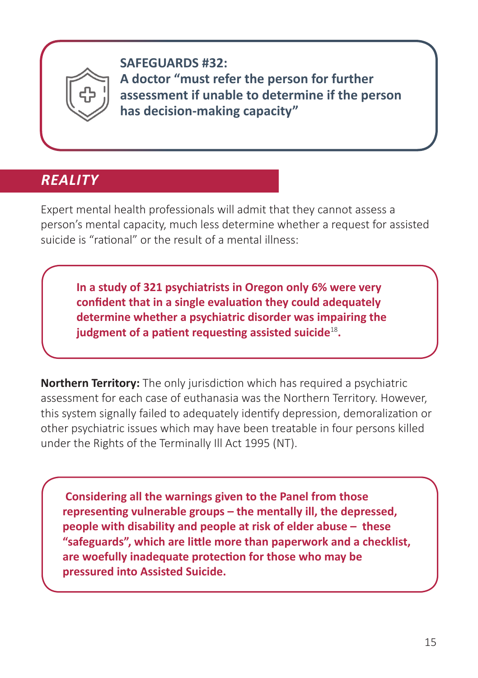

**SAFEGUARDS #32: A doctor "must refer the person for further assessment if unable to determine if the person has decision-making capacity"** 

### *REALITY*

Expert mental health professionals will admit that they cannot assess a person's mental capacity, much less determine whether a request for assisted suicide is "rational" or the result of a mental illness:

**In a study of 321 psychiatrists in Oregon only 6% were very confident that in a single evaluation they could adequately determine whether a psychiatric disorder was impairing the judgment of a patient requesting assisted suicide**<sup>18</sup>**.**

**Northern Territory:** The only jurisdiction which has required a psychiatric assessment for each case of euthanasia was the Northern Territory. However, this system signally failed to adequately identify depression, demoralization or other psychiatric issues which may have been treatable in four persons killed under the Rights of the Terminally Ill Act 1995 (NT).

 **Considering all the warnings given to the Panel from those representing vulnerable groups – the mentally ill, the depressed, people with disability and people at risk of elder abuse – these "safeguards", which are little more than paperwork and a checklist, are woefully inadequate protection for those who may be pressured into Assisted Suicide.**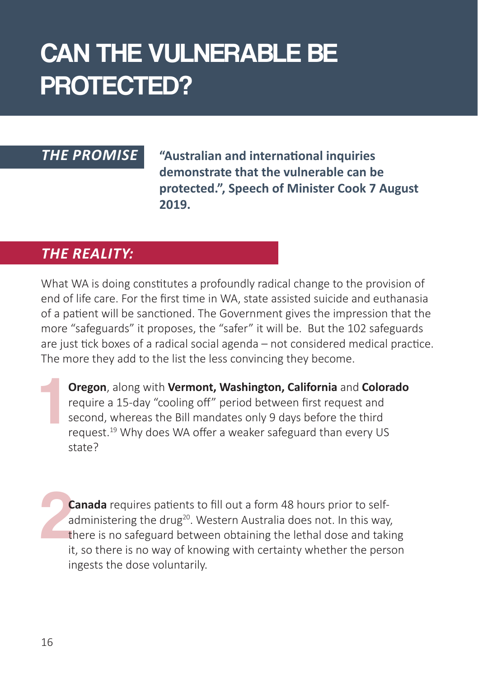### CAN THE VULNERABLE BE PROTECTED?

#### *THE PROMISE*

**"Australian and international inquiries demonstrate that the vulnerable can be protected.", Speech of Minister Cook 7 August 2019.**

#### *THE REALITY:*

What WA is doing constitutes a profoundly radical change to the provision of end of life care. For the first time in WA, state assisted suicide and euthanasia of a patient will be sanctioned. The Government gives the impression that the more "safeguards" it proposes, the "safer" it will be. But the 102 safeguards are just tick boxes of a radical social agenda – not considered medical practice. The more they add to the list the less convincing they become.

1 **Oregon**, along with **Vermont, Washington, California** and **Colorado** require a 15-day "cooling off" period between first request and second, whereas the Bill mandates only 9 days before the third request.<sup>19</sup> Why does WA offer a weaker safeguard than every US state?

2 **Canada** requires patients to fill out a form 48 hours prior to selfadministering the drug<sup>20</sup>. Western Australia does not. In this way, there is no safeguard between obtaining the lethal dose and taking it, so there is no way of knowing with certainty whether the person ingests the dose voluntarily.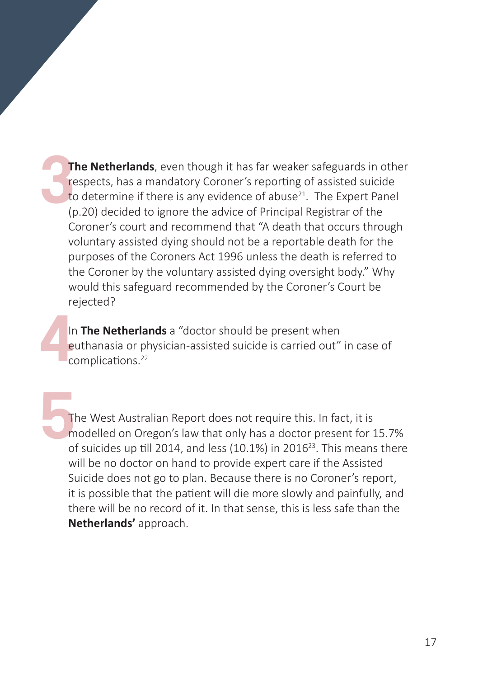3 **The Netherlands**, even though it has far weaker safeguards in other respects, has a mandatory Coroner's reporting of assisted suicide to determine if there is any evidence of abuse<sup>21</sup>. The Expert Panel (p.20) decided to ignore the advice of Principal Registrar of the Coroner's court and recommend that "A death that occurs through voluntary assisted dying should not be a reportable death for the purposes of the Coroners Act 1996 unless the death is referred to the Coroner by the voluntary assisted dying oversight body." Why would this safeguard recommended by the Coroner's Court be rejected?

<sup>4</sup> In **The Netherlands** a "doctor should be present when euthanasia or physician-assisted suicide is carried out" in case of complications.<sup>22</sup>

5 The West Australian Report does not require this. In fact, it is modelled on Oregon's law that only has a doctor present for 15.7% of suicides up till 2014, and less (10.1%) in 2016<sup>23</sup>. This means there will be no doctor on hand to provide expert care if the Assisted Suicide does not go to plan. Because there is no Coroner's report, it is possible that the patient will die more slowly and painfully, and there will be no record of it. In that sense, this is less safe than the **Netherlands'** approach.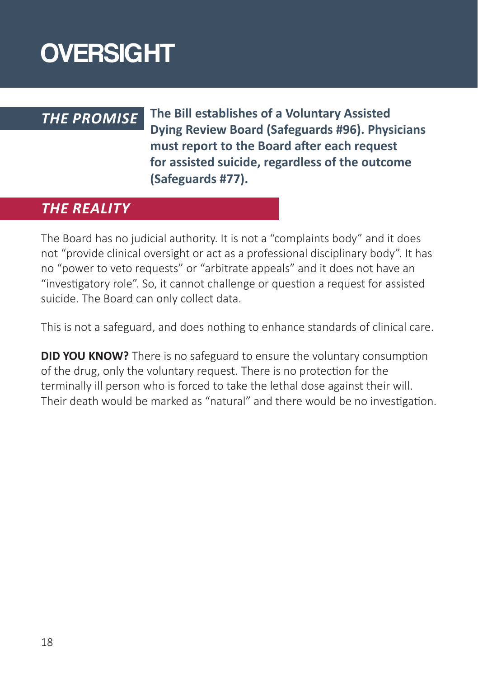### **OVERSIGHT**

#### *THE PROMISE*

**The Bill establishes of a Voluntary Assisted Dying Review Board (Safeguards #96). Physicians must report to the Board after each request for assisted suicide, regardless of the outcome (Safeguards #77).** 

#### *THE REALITY*

The Board has no judicial authority. It is not a "complaints body" and it does not "provide clinical oversight or act as a professional disciplinary body". It has no "power to veto requests" or "arbitrate appeals" and it does not have an "investigatory role". So, it cannot challenge or question a request for assisted suicide. The Board can only collect data.

This is not a safeguard, and does nothing to enhance standards of clinical care.

**DID YOU KNOW?** There is no safeguard to ensure the voluntary consumption of the drug, only the voluntary request. There is no protection for the terminally ill person who is forced to take the lethal dose against their will. Their death would be marked as "natural" and there would be no investigation.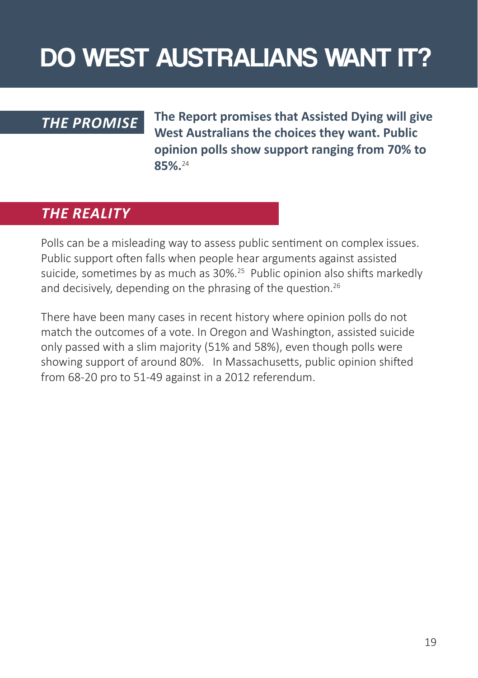### DO WEST AUSTRALIANS WANT IT?

#### *THE PROMISE*

**The Report promises that Assisted Dying will give West Australians the choices they want. Public opinion polls show support ranging from 70% to 85%.**24

#### *THE REALITY*

Polls can be a misleading way to assess public sentiment on complex issues. Public support often falls when people hear arguments against assisted suicide, sometimes by as much as 30%.<sup>25</sup> Public opinion also shifts markedly and decisively, depending on the phrasing of the question.<sup>26</sup>

There have been many cases in recent history where opinion polls do not match the outcomes of a vote. In Oregon and Washington, assisted suicide only passed with a slim majority (51% and 58%), even though polls were showing support of around 80%. In Massachusetts, public opinion shifted from 68-20 pro to 51-49 against in a 2012 referendum.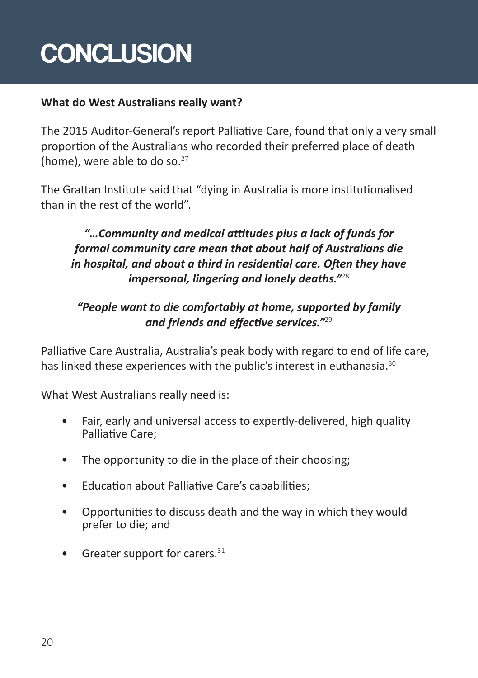## **CONCLUSION**

#### **What do West Australians really want?**

The 2015 Auditor-General's report Palliative Care, found that only a very small proportion of the Australians who recorded their preferred place of death (home), were able to do so. $27$ 

The Grattan Institute said that "dying in Australia is more institutionalised than in the rest of the world".

#### *"…Community and medical attitudes plus a lack of funds for formal community care mean that about half of Australians die in hospital, and about a third in residential care. Often they have impersonal, lingering and lonely deaths."*<sup>28</sup>

#### *"People want to die comfortably at home, supported by family and friends and effective services."*<sup>29</sup>

Palliative Care Australia, Australia's peak body with regard to end of life care, has linked these experiences with the public's interest in euthanasia.<sup>30</sup>

What West Australians really need is:

- Fair, early and universal access to expertly-delivered, high quality Palliative Care;
- The opportunity to die in the place of their choosing;
- Education about Palliative Care's capabilities;
- Opportunities to discuss death and the way in which they would prefer to die; and
- Greater support for carers. $31$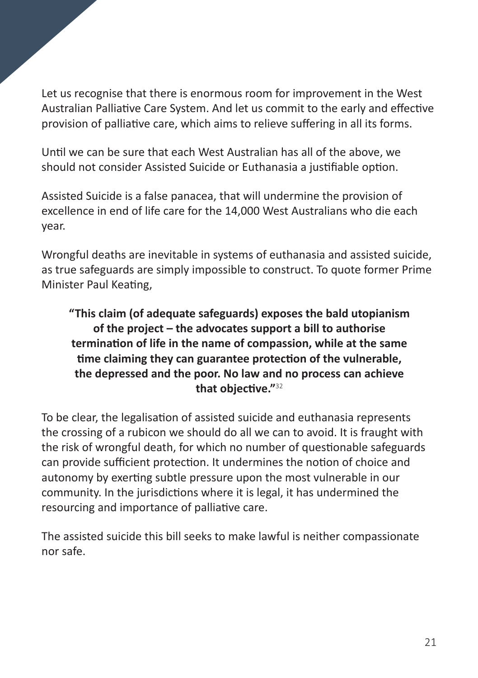Let us recognise that there is enormous room for improvement in the West Australian Palliative Care System. And let us commit to the early and effective provision of palliative care, which aims to relieve suffering in all its forms.

Until we can be sure that each West Australian has all of the above, we should not consider Assisted Suicide or Euthanasia a justifiable option.

Assisted Suicide is a false panacea, that will undermine the provision of excellence in end of life care for the 14,000 West Australians who die each year.

Wrongful deaths are inevitable in systems of euthanasia and assisted suicide, as true safeguards are simply impossible to construct. To quote former Prime Minister Paul Keating,

#### **"This claim (of adequate safeguards) exposes the bald utopianism of the project – the advocates support a bill to authorise termination of life in the name of compassion, while at the same time claiming they can guarantee protection of the vulnerable, the depressed and the poor. No law and no process can achieve that objective."**<sup>32</sup>

To be clear, the legalisation of assisted suicide and euthanasia represents the crossing of a rubicon we should do all we can to avoid. It is fraught with the risk of wrongful death, for which no number of questionable safeguards can provide sufficient protection. It undermines the notion of choice and autonomy by exerting subtle pressure upon the most vulnerable in our community. In the jurisdictions where it is legal, it has undermined the resourcing and importance of palliative care.

The assisted suicide this bill seeks to make lawful is neither compassionate nor safe.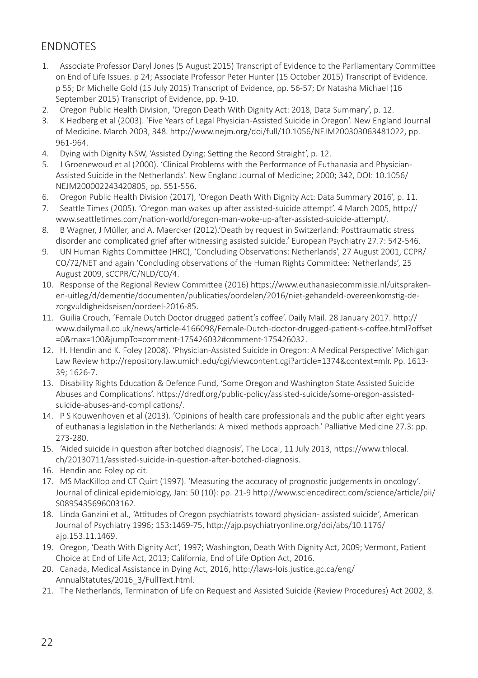#### **ENDNOTES**

- 1. Associate Professor Daryl Jones (5 August 2015) Transcript of Evidence to the Parliamentary Committee on End of Life Issues. p 24; Associate Professor Peter Hunter (15 October 2015) Transcript of Evidence. p 55; Dr Michelle Gold (15 July 2015) Transcript of Evidence, pp. 56-57; Dr Natasha Michael (16 September 2015) Transcript of Evidence, pp. 9-10.
- 2. Oregon Public Health Division, 'Oregon Death With Dignity Act: 2018, Data Summary', p. 12.
- 3. K Hedberg et al (2003). 'Five Years of Legal Physician-Assisted Suicide in Oregon'. New England Journal of Medicine. March 2003, 348. http://www.nejm.org/doi/full/10.1056/NEJM200303063481022, pp. 961-964.
- 4. Dying with Dignity NSW, 'Assisted Dying: Setting the Record Straight', p. 12.
- 5. J Groenewoud et al (2000). 'Clinical Problems with the Performance of Euthanasia and Physician-Assisted Suicide in the Netherlands'. New England Journal of Medicine; 2000; 342, DOI: 10.1056/ NEJM200002243420805, pp. 551-556.
- 6. Oregon Public Health Division (2017), 'Oregon Death With Dignity Act: Data Summary 2016', p. 11.
- 7. Seattle Times (2005). 'Oregon man wakes up after assisted-suicide attempt'. 4 March 2005, http:// www.seattletimes.com/nation-world/oregon-man-woke-up-after-assisted-suicide-attempt/.
- 8. B Wagner, J Müller, and A. Maercker (2012).'Death by request in Switzerland: Posttraumatic stress disorder and complicated grief after witnessing assisted suicide.' European Psychiatry 27.7: 542-546.
- 9. UN Human Rights Committee (HRC), 'Concluding Observations: Netherlands', 27 August 2001, CCPR/ CO/72/NET and again 'Concluding observations of the Human Rights Committee: Netherlands', 25 August 2009, sCCPR/C/NLD/CO/4.
- 10. Response of the Regional Review Committee (2016) https://www.euthanasiecommissie.nl/uitsprakenen-uitleg/d/dementie/documenten/publicaties/oordelen/2016/niet-gehandeld-overeenkomstig-dezorgvuldigheidseisen/oordeel-2016-85.
- 11. Guilia Crouch, 'Female Dutch Doctor drugged patient's coffee'. Daily Mail. 28 January 2017. http:// www.dailymail.co.uk/news/article-4166098/Female-Dutch-doctor-drugged-patient-s-coffee.html?offset =0&max=100&jumpTo=comment-175426032#comment-175426032.
- 12. H. Hendin and K. Foley (2008). 'Physician-Assisted Suicide in Oregon: A Medical Perspective' Michigan Law Review http://repository.law.umich.edu/cgi/viewcontent.cgi?article=1374&context=mlr. Pp. 1613- 39; 1626-7.
- 13. Disability Rights Education & Defence Fund, 'Some Oregon and Washington State Assisted Suicide Abuses and Complications'. https://dredf.org/public-policy/assisted-suicide/some-oregon-assistedsuicide-abuses-and-complications/.
- 14. P S Kouwenhoven et al (2013). 'Opinions of health care professionals and the public after eight years of euthanasia legislation in the Netherlands: A mixed methods approach.' Palliative Medicine 27.3: pp. 273-280.
- 15. 'Aided suicide in question after botched diagnosis', The Local, 11 July 2013, https://www.thlocal. ch/20130711/assisted-suicide-in-question-after-botched-diagnosis.
- 16. Hendin and Foley op cit.
- 17. MS MacKillop and CT Quirt (1997). 'Measuring the accuracy of prognostic judgements in oncology'. Journal of clinical epidemiology, Jan: 50 (10): pp. 21-9 http://www.sciencedirect.com/science/article/pii/ S0895435696003162.
- 18. Linda Ganzini et al., 'Attitudes of Oregon psychiatrists toward physician- assisted suicide', American Journal of Psychiatry 1996; 153:1469-75, http://ajp.psychiatryonline.org/doi/abs/10.1176/ ajp.153.11.1469.
- 19. Oregon, 'Death With Dignity Act', 1997; Washington, Death With Dignity Act, 2009; Vermont, Patient Choice at End of Life Act, 2013; California, End of Life Option Act, 2016.
- 20. Canada, Medical Assistance in Dying Act, 2016, http://laws-lois.justice.gc.ca/eng/ AnnualStatutes/2016\_3/FullText.html.
- 21. The Netherlands, Termination of Life on Request and Assisted Suicide (Review Procedures) Act 2002, 8.